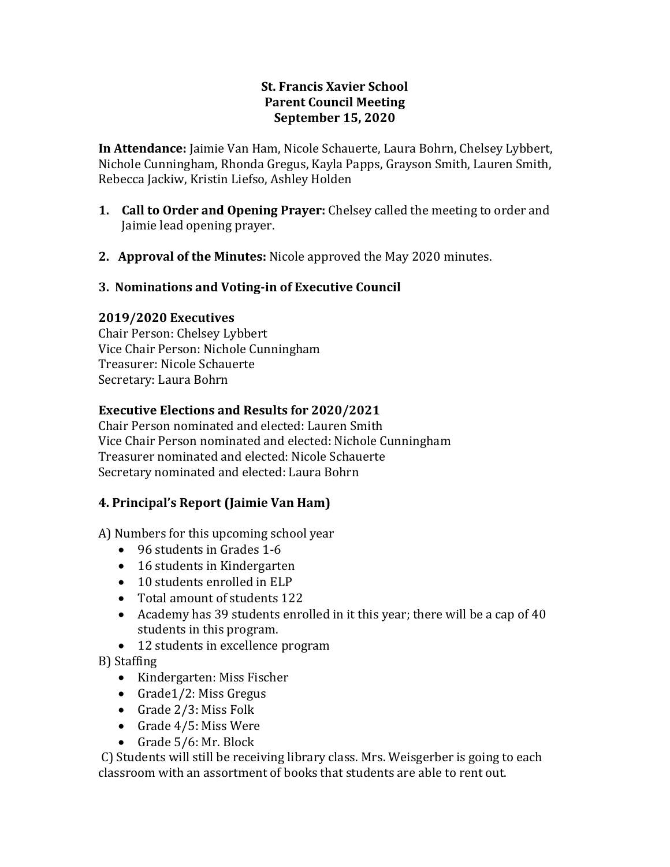## **St. Francis Xavier School Parent Council Meeting September 15, 2020**

**In Attendance:** Jaimie Van Ham, Nicole Schauerte, Laura Bohrn, Chelsey Lybbert, Nichole Cunningham, Rhonda Gregus, Kayla Papps, Grayson Smith, Lauren Smith, Rebecca Jackiw, Kristin Liefso, Ashley Holden

- **1. Call to Order and Opening Prayer:** Chelsey called the meeting to order and Jaimie lead opening prayer.
- **2. Approval of the Minutes:** Nicole approved the May 2020 minutes.

## **3. Nominations and Voting-in of Executive Council**

#### **2019/2020 Executives**

Chair Person: Chelsey Lybbert Vice Chair Person: Nichole Cunningham Treasurer: Nicole Schauerte Secretary: Laura Bohrn

## **Executive Elections and Results for 2020/2021**

Chair Person nominated and elected: Lauren Smith Vice Chair Person nominated and elected: Nichole Cunningham Treasurer nominated and elected: Nicole Schauerte Secretary nominated and elected: Laura Bohrn

# **4. Principal's Report (Jaimie Van Ham)**

A) Numbers for this upcoming school year

- 96 students in Grades 1-6
- 16 students in Kindergarten
- 10 students enrolled in ELP
- Total amount of students 122
- Academy has 39 students enrolled in it this year; there will be a cap of 40 students in this program.
- 12 students in excellence program

B) Staffing

- Kindergarten: Miss Fischer
- Grade1/2: Miss Gregus
- Grade 2/3: Miss Folk
- Grade 4/5: Miss Were
- Grade 5/6: Mr. Block

C) Students will still be receiving library class. Mrs. Weisgerber is going to each classroom with an assortment of books that students are able to rent out.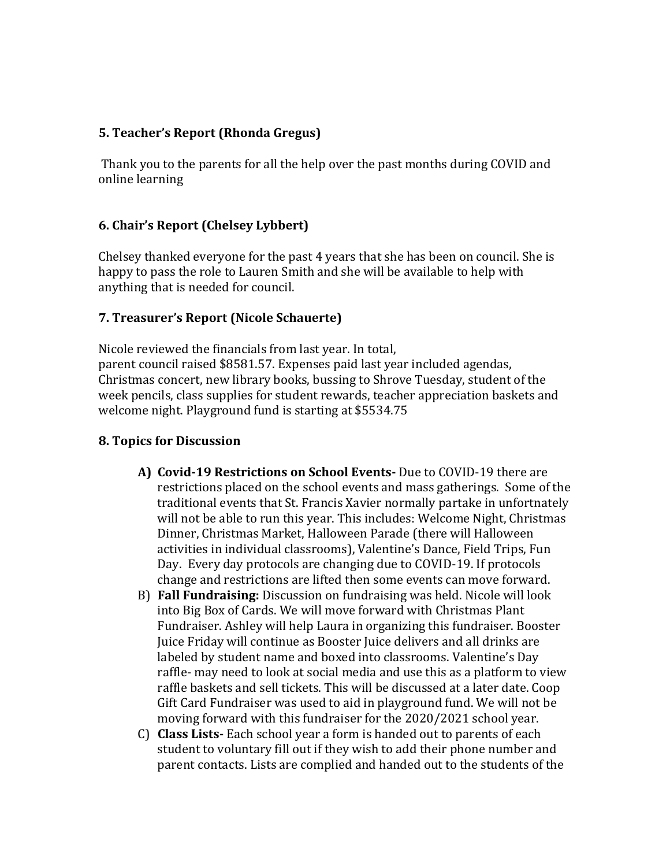### **5. Teacher's Report (Rhonda Gregus)**

Thank you to the parents for all the help over the past months during COVID and online learning

## **6. Chair's Report (Chelsey Lybbert)**

Chelsey thanked everyone for the past 4 years that she has been on council. She is happy to pass the role to Lauren Smith and she will be available to help with anything that is needed for council.

## **7. Treasurer's Report (Nicole Schauerte)**

Nicole reviewed the financials from last year. In total, parent council raised \$8581.57. Expenses paid last year included agendas, Christmas concert, new library books, bussing to Shrove Tuesday, student of the week pencils, class supplies for student rewards, teacher appreciation baskets and welcome night. Playground fund is starting at \$5534.75

### **8. Topics for Discussion**

- **A) Covid-19 Restrictions on School Events-** Due to COVID-19 there are restrictions placed on the school events and mass gatherings. Some of the traditional events that St. Francis Xavier normally partake in unfortnately will not be able to run this year. This includes: Welcome Night, Christmas Dinner, Christmas Market, Halloween Parade (there will Halloween activities in individual classrooms), Valentine's Dance, Field Trips, Fun Day. Every day protocols are changing due to COVID-19. If protocols change and restrictions are lifted then some events can move forward.
- B) **Fall Fundraising:** Discussion on fundraising was held. Nicole will look into Big Box of Cards. We will move forward with Christmas Plant Fundraiser. Ashley will help Laura in organizing this fundraiser. Booster Juice Friday will continue as Booster Juice delivers and all drinks are labeled by student name and boxed into classrooms. Valentine's Day raffle- may need to look at social media and use this as a platform to view raffle baskets and sell tickets. This will be discussed at a later date. Coop Gift Card Fundraiser was used to aid in playground fund. We will not be moving forward with this fundraiser for the 2020/2021 school year.
- C) **Class Lists-** Each school year a form is handed out to parents of each student to voluntary fill out if they wish to add their phone number and parent contacts. Lists are complied and handed out to the students of the